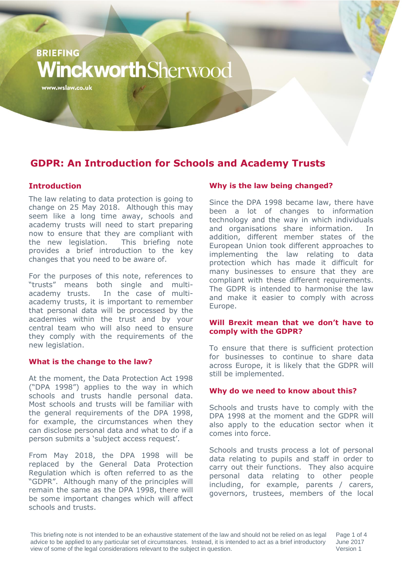# **BRIEFING** VinckworthSherwood

www.wslaw.co.uk

### **GDPR: An Introduction for Schools and Academy Trusts**

#### **Introduction**

The law relating to data protection is going to change on 25 May 2018. Although this may seem like a long time away, schools and academy trusts will need to start preparing now to ensure that they are compliant with the new legislation. This briefing note provides a brief introduction to the key changes that you need to be aware of.

For the purposes of this note, references to "trusts" means both single and multiacademy trusts. In the case of multiacademy trusts, it is important to remember that personal data will be processed by the academies within the trust and by your central team who will also need to ensure they comply with the requirements of the new legislation.

#### **What is the change to the law?**

At the moment, the Data Protection Act 1998 ("DPA 1998") applies to the way in which schools and trusts handle personal data. Most schools and trusts will be familiar with the general requirements of the DPA 1998, for example, the circumstances when they can disclose personal data and what to do if a person submits a 'subject access request'.

From May 2018, the DPA 1998 will be replaced by the General Data Protection Regulation which is often referred to as the "GDPR". Although many of the principles will remain the same as the DPA 1998, there will be some important changes which will affect schools and trusts.

#### **Why is the law being changed?**

Since the DPA 1998 became law, there have been a lot of changes to information technology and the way in which individuals and organisations share information. In addition, different member states of the European Union took different approaches to implementing the law relating to data protection which has made it difficult for many businesses to ensure that they are compliant with these different requirements. The GDPR is intended to harmonise the law and make it easier to comply with across Europe.

#### **Will Brexit mean that we don't have to comply with the GDPR?**

To ensure that there is sufficient protection for businesses to continue to share data across Europe, it is likely that the GDPR will still be implemented.

#### **Why do we need to know about this?**

Schools and trusts have to comply with the DPA 1998 at the moment and the GDPR will also apply to the education sector when it comes into force.

Schools and trusts process a lot of personal data relating to pupils and staff in order to carry out their functions. They also acquire personal data relating to other people including, for example, parents / carers, governors, trustees, members of the local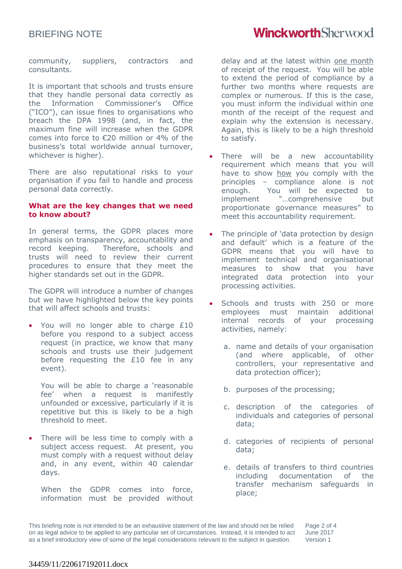### BRIEFING NOTE

## **WinckworthSherwood**

community, suppliers, contractors and consultants.

It is important that schools and trusts ensure that they handle personal data correctly as the Information Commissioner's Office ("ICO"), can issue fines to organisations who breach the DPA 1998 (and, in fact, the maximum fine will increase when the GDPR comes into force to €20 million or 4% of the business's total worldwide annual turnover, whichever is higher).

There are also reputational risks to your organisation if you fail to handle and process personal data correctly.

#### **What are the key changes that we need to know about?**

In general terms, the GDPR places more emphasis on transparency, accountability and record keeping. Therefore, schools and trusts will need to review their current procedures to ensure that they meet the higher standards set out in the GDPR.

The GDPR will introduce a number of changes but we have highlighted below the key points that will affect schools and trusts:

You will no longer able to charge £10 before you respond to a subject access request (in practice, we know that many schools and trusts use their judgement before requesting the £10 fee in any event).

You will be able to charge a 'reasonable fee' when a request is manifestly unfounded or excessive, particularly if it is repetitive but this is likely to be a high threshold to meet.

 There will be less time to comply with a subject access request. At present, you must comply with a request without delay and, in any event, within 40 calendar days.

When the GDPR comes into force, information must be provided without delay and at the latest within one month of receipt of the request. You will be able to extend the period of compliance by a further two months where requests are complex or numerous. If this is the case, you must inform the individual within one month of the receipt of the request and explain why the extension is necessary. Again, this is likely to be a high threshold to satisfy.

- There will be a new accountability requirement which means that you will have to show how you comply with the principles – compliance alone is not enough. You will be expected to implement "…comprehensive but proportionate governance measures" to meet this accountability requirement.
- The principle of 'data protection by design and default' which is a feature of the GDPR means that you will have to implement technical and organisational measures to show that you have integrated data protection into your processing activities.
- Schools and trusts with 250 or more employees must maintain additional internal records of your processing activities, namely:
	- a. name and details of your organisation (and where applicable, of other controllers, your representative and data protection officer);
	- b. purposes of the processing;
	- c. description of the categories of individuals and categories of personal data;
	- d. categories of recipients of personal data;
	- e. details of transfers to third countries including documentation of the transfer mechanism safeguards in place;

This briefing note is not intended to be an exhaustive statement of the law and should not be relied on as legal advice to be applied to any particular set of circumstances. Instead, it is intended to act as a brief introductory view of some of the legal considerations relevant to the subject in question. Page 2 of 4 June 2017 Version 1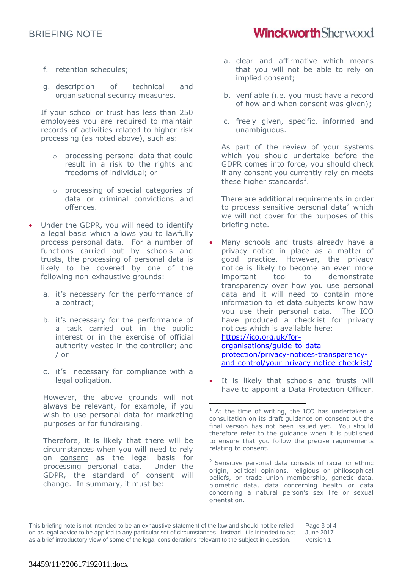### BRIEFING NOTE

- f. retention schedules;
- g. description of technical and organisational security measures.

If your school or trust has less than 250 employees you are required to maintain records of activities related to higher risk processing (as noted above), such as:

- o processing personal data that could result in a risk to the rights and freedoms of individual; or
- o processing of special categories of data or criminal convictions and offences.
- Under the GDPR, you will need to identify a legal basis which allows you to lawfully process personal data. For a number of functions carried out by schools and trusts, the processing of personal data is likely to be covered by one of the following non-exhaustive grounds:
	- a. it's necessary for the performance of a contract;
	- b. it's necessary for the performance of a task carried out in the public interest or in the exercise of official authority vested in the controller; and / or
	- c. it's necessary for compliance with a legal obligation.

However, the above grounds will not always be relevant, for example, if you wish to use personal data for marketing purposes or for fundraising.

Therefore, it is likely that there will be circumstances when you will need to rely on consent as the legal basis for processing personal data. Under the GDPR, the standard of consent will change. In summary, it must be:

- a. clear and affirmative which means that you will not be able to rely on implied consent;
- b. verifiable (i.e. you must have a record of how and when consent was given);
- c. freely given, specific, informed and unambiguous.

As part of the review of your systems which you should undertake before the GDPR comes into force, you should check if any consent you currently rely on meets these higher standards<sup>1</sup>.

There are additional requirements in order to process sensitive personal data<sup>2</sup> which we will not cover for the purposes of this briefing note.

- Many schools and trusts already have a privacy notice in place as a matter of good practice. However, the privacy notice is likely to become an even more important tool to demonstrate transparency over how you use personal data and it will need to contain more information to let data subjects know how you use their personal data. The ICO have produced a checklist for privacy notices which is available here: [https://ico.org.uk/for](https://ico.org.uk/for-organisations/guide-to-data-protection/privacy-notices-transparency-and-control/your-privacy-notice-checklist/)[organisations/guide-to-data](https://ico.org.uk/for-organisations/guide-to-data-protection/privacy-notices-transparency-and-control/your-privacy-notice-checklist/)[protection/privacy-notices-transparency](https://ico.org.uk/for-organisations/guide-to-data-protection/privacy-notices-transparency-and-control/your-privacy-notice-checklist/)[and-control/your-privacy-notice-checklist/](https://ico.org.uk/for-organisations/guide-to-data-protection/privacy-notices-transparency-and-control/your-privacy-notice-checklist/)
- It is likely that schools and trusts will have to appoint a Data Protection Officer.

 $\overline{a}$ 

## **WinckworthSherwood**

 $1$  At the time of writing, the ICO has undertaken a consultation on its draft guidance on consent but the final version has not been issued yet. You should therefore refer to the guidance when it is published to ensure that you follow the precise requirements relating to consent.

 $2$  Sensitive personal data consists of racial or ethnic origin, political opinions, religious or philosophical beliefs, or trade union membership, genetic data, biometric data, data concerning health or data concerning a natural person's sex life or sexual orientation.

This briefing note is not intended to be an exhaustive statement of the law and should not be relied on as legal advice to be applied to any particular set of circumstances. Instead, it is intended to act as a brief introductory view of some of the legal considerations relevant to the subject in question. Page 3 of 4 June 2017 Version 1